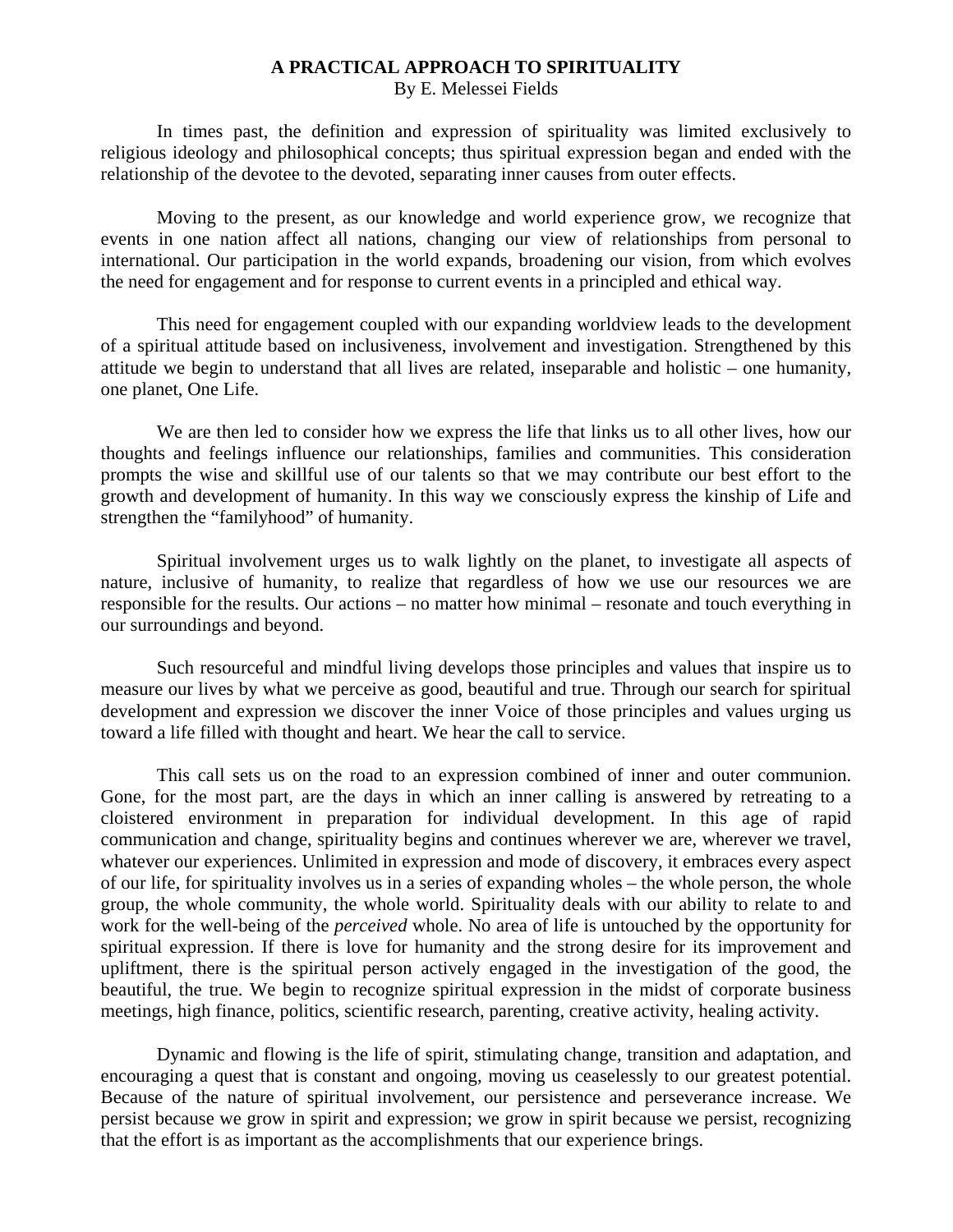## **A PRACTICAL APPROACH TO SPIRITUALITY**

By E. Melessei Fields

 In times past, the definition and expression of spirituality was limited exclusively to religious ideology and philosophical concepts; thus spiritual expression began and ended with the relationship of the devotee to the devoted, separating inner causes from outer effects.

 Moving to the present, as our knowledge and world experience grow, we recognize that events in one nation affect all nations, changing our view of relationships from personal to international. Our participation in the world expands, broadening our vision, from which evolves the need for engagement and for response to current events in a principled and ethical way.

 This need for engagement coupled with our expanding worldview leads to the development of a spiritual attitude based on inclusiveness, involvement and investigation. Strengthened by this attitude we begin to understand that all lives are related, inseparable and holistic – one humanity, one planet, One Life.

 We are then led to consider how we express the life that links us to all other lives, how our thoughts and feelings influence our relationships, families and communities. This consideration prompts the wise and skillful use of our talents so that we may contribute our best effort to the growth and development of humanity. In this way we consciously express the kinship of Life and strengthen the "familyhood" of humanity.

 Spiritual involvement urges us to walk lightly on the planet, to investigate all aspects of nature, inclusive of humanity, to realize that regardless of how we use our resources we are responsible for the results. Our actions – no matter how minimal – resonate and touch everything in our surroundings and beyond.

 Such resourceful and mindful living develops those principles and values that inspire us to measure our lives by what we perceive as good, beautiful and true. Through our search for spiritual development and expression we discover the inner Voice of those principles and values urging us toward a life filled with thought and heart. We hear the call to service.

 This call sets us on the road to an expression combined of inner and outer communion. Gone, for the most part, are the days in which an inner calling is answered by retreating to a cloistered environment in preparation for individual development. In this age of rapid communication and change, spirituality begins and continues wherever we are, wherever we travel, whatever our experiences. Unlimited in expression and mode of discovery, it embraces every aspect of our life, for spirituality involves us in a series of expanding wholes – the whole person, the whole group, the whole community, the whole world. Spirituality deals with our ability to relate to and work for the well-being of the *perceived* whole. No area of life is untouched by the opportunity for spiritual expression. If there is love for humanity and the strong desire for its improvement and upliftment, there is the spiritual person actively engaged in the investigation of the good, the beautiful, the true. We begin to recognize spiritual expression in the midst of corporate business meetings, high finance, politics, scientific research, parenting, creative activity, healing activity.

 Dynamic and flowing is the life of spirit, stimulating change, transition and adaptation, and encouraging a quest that is constant and ongoing, moving us ceaselessly to our greatest potential. Because of the nature of spiritual involvement, our persistence and perseverance increase. We persist because we grow in spirit and expression; we grow in spirit because we persist, recognizing that the effort is as important as the accomplishments that our experience brings.